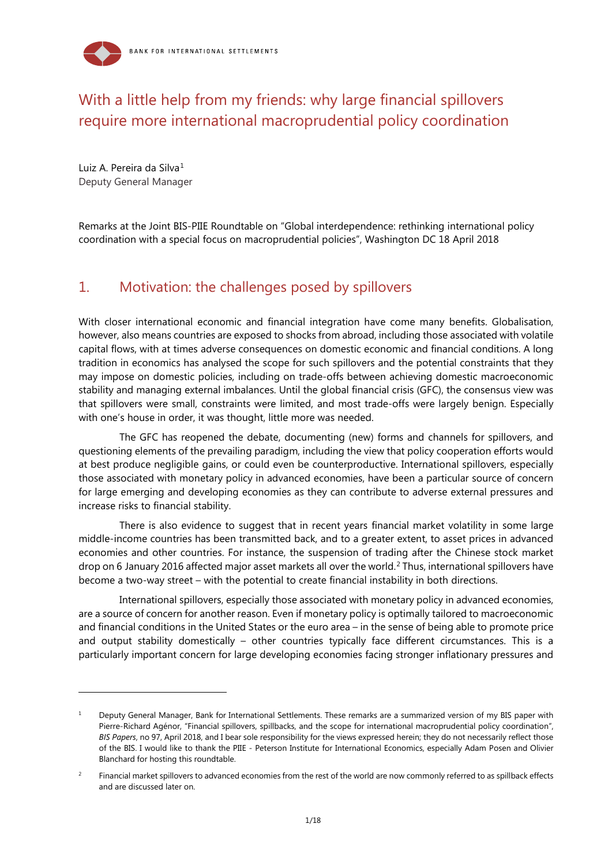

# With a little help from my friends: why large financial spillovers require more international macroprudential policy coordination

Luiz A. Pereira da Silva<sup>[1](#page-0-0)</sup> Deputy General Manager

-

Remarks at the Joint BIS-PIIE Roundtable on "Global interdependence: rethinking international policy coordination with a special focus on macroprudential policies", Washington DC 18 April 2018

#### 1. Motivation: the challenges posed by spillovers

With closer international economic and financial integration have come many benefits. Globalisation, however, also means countries are exposed to shocks from abroad, including those associated with volatile capital flows, with at times adverse consequences on domestic economic and financial conditions. A long tradition in economics has analysed the scope for such spillovers and the potential constraints that they may impose on domestic policies, including on trade-offs between achieving domestic macroeconomic stability and managing external imbalances. Until the global financial crisis (GFC), the consensus view was that spillovers were small, constraints were limited, and most trade-offs were largely benign. Especially with one's house in order, it was thought, little more was needed.

The GFC has reopened the debate, documenting (new) forms and channels for spillovers, and questioning elements of the prevailing paradigm, including the view that policy cooperation efforts would at best produce negligible gains, or could even be counterproductive. International spillovers, especially those associated with monetary policy in advanced economies, have been a particular source of concern for large emerging and developing economies as they can contribute to adverse external pressures and increase risks to financial stability.

There is also evidence to suggest that in recent years financial market volatility in some large middle-income countries has been transmitted back, and to a greater extent, to asset prices in advanced economies and other countries. For instance, the suspension of trading after the Chinese stock market drop on 6 January [2](#page-0-1)016 affected major asset markets all over the world.<sup>2</sup> Thus, international spillovers have become a two-way street – with the potential to create financial instability in both directions.

International spillovers, especially those associated with monetary policy in advanced economies, are a source of concern for another reason. Even if monetary policy is optimally tailored to macroeconomic and financial conditions in the United States or the euro area – in the sense of being able to promote price and output stability domestically – other countries typically face different circumstances. This is a particularly important concern for large developing economies facing stronger inflationary pressures and

<span id="page-0-0"></span><sup>1</sup> Deputy General Manager, Bank for International Settlements. These remarks are a summarized version of my BIS paper with Pierre-Richard Agénor, "Financial spillovers, spillbacks, and the scope for international macroprudential policy coordination", *BIS Papers*, no 97, April 2018, and I bear sole responsibility for the views expressed herein; they do not necessarily reflect those of the BIS. I would like to thank the PIIE - Peterson Institute for International Economics, especially Adam Posen and Olivier Blanchard for hosting this roundtable.

<span id="page-0-1"></span> $2^2$  Financial market spillovers to advanced economies from the rest of the world are now commonly referred to as spillback effects and are discussed later on.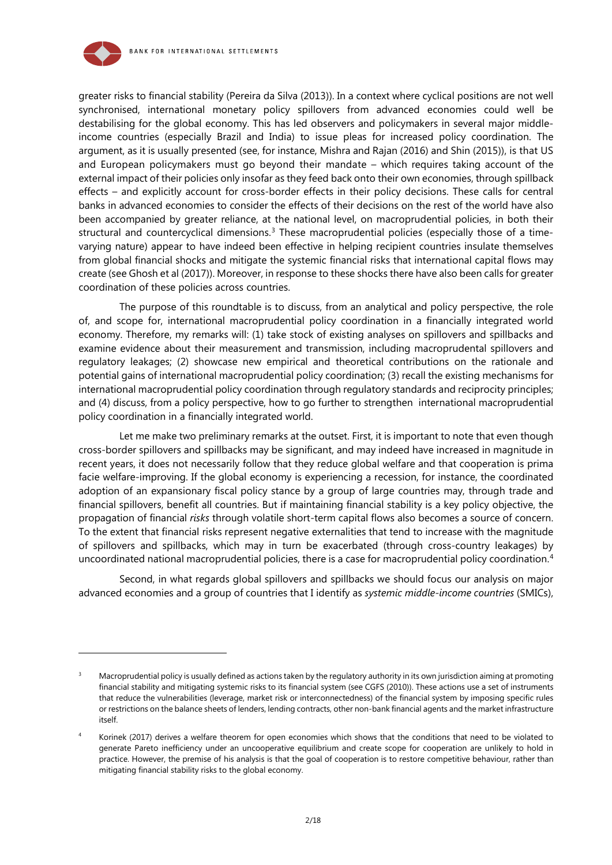

greater risks to financial stability (Pereira da Silva (2013)). In a context where cyclical positions are not well synchronised, international monetary policy spillovers from advanced economies could well be destabilising for the global economy. This has led observers and policymakers in several major middleincome countries (especially Brazil and India) to issue pleas for increased policy coordination. The argument, as it is usually presented (see, for instance, Mishra and Rajan (2016) and Shin (2015)), is that US and European policymakers must go beyond their mandate – which requires taking account of the external impact of their policies only insofar as they feed back onto their own economies, through spillback effects – and explicitly account for cross-border effects in their policy decisions. These calls for central banks in advanced economies to consider the effects of their decisions on the rest of the world have also been accompanied by greater reliance, at the national level, on macroprudential policies, in both their structural and countercyclical dimensions.<sup>[3](#page-1-0)</sup> These macroprudential policies (especially those of a timevarying nature) appear to have indeed been effective in helping recipient countries insulate themselves from global financial shocks and mitigate the systemic financial risks that international capital flows may create (see Ghosh et al (2017)). Moreover, in response to these shocks there have also been calls for greater coordination of these policies across countries.

The purpose of this roundtable is to discuss, from an analytical and policy perspective, the role of, and scope for, international macroprudential policy coordination in a financially integrated world economy. Therefore, my remarks will: (1) take stock of existing analyses on spillovers and spillbacks and examine evidence about their measurement and transmission, including macroprudental spillovers and regulatory leakages; (2) showcase new empirical and theoretical contributions on the rationale and potential gains of international macroprudential policy coordination; (3) recall the existing mechanisms for international macroprudential policy coordination through regulatory standards and reciprocity principles; and (4) discuss, from a policy perspective, how to go further to strengthen international macroprudential policy coordination in a financially integrated world.

Let me make two preliminary remarks at the outset. First, it is important to note that even though cross-border spillovers and spillbacks may be significant, and may indeed have increased in magnitude in recent years, it does not necessarily follow that they reduce global welfare and that cooperation is prima facie welfare-improving. If the global economy is experiencing a recession, for instance, the coordinated adoption of an expansionary fiscal policy stance by a group of large countries may, through trade and financial spillovers, benefit all countries. But if maintaining financial stability is a key policy objective, the propagation of financial *risks* through volatile short-term capital flows also becomes a source of concern. To the extent that financial risks represent negative externalities that tend to increase with the magnitude of spillovers and spillbacks, which may in turn be exacerbated (through cross-country leakages) by uncoordinated national macroprudential policies, there is a case for macroprudential policy coordination.[4](#page-1-1)

Second, in what regards global spillovers and spillbacks we should focus our analysis on major advanced economies and a group of countries that I identify as *systemic middle-income countries* (SMICs),

<span id="page-1-0"></span><sup>3</sup> Macroprudential policy is usually defined as actions taken by the regulatory authority in its own jurisdiction aiming at promoting financial stability and mitigating systemic risks to its financial system (see CGFS (2010)). These actions use a set of instruments that reduce the vulnerabilities (leverage, market risk or interconnectedness) of the financial system by imposing specific rules or restrictions on the balance sheets of lenders, lending contracts, other non-bank financial agents and the market infrastructure itself.

<span id="page-1-1"></span>Korinek (2017) derives a welfare theorem for open economies which shows that the conditions that need to be violated to generate Pareto inefficiency under an uncooperative equilibrium and create scope for cooperation are unlikely to hold in practice. However, the premise of his analysis is that the goal of cooperation is to restore competitive behaviour, rather than mitigating financial stability risks to the global economy.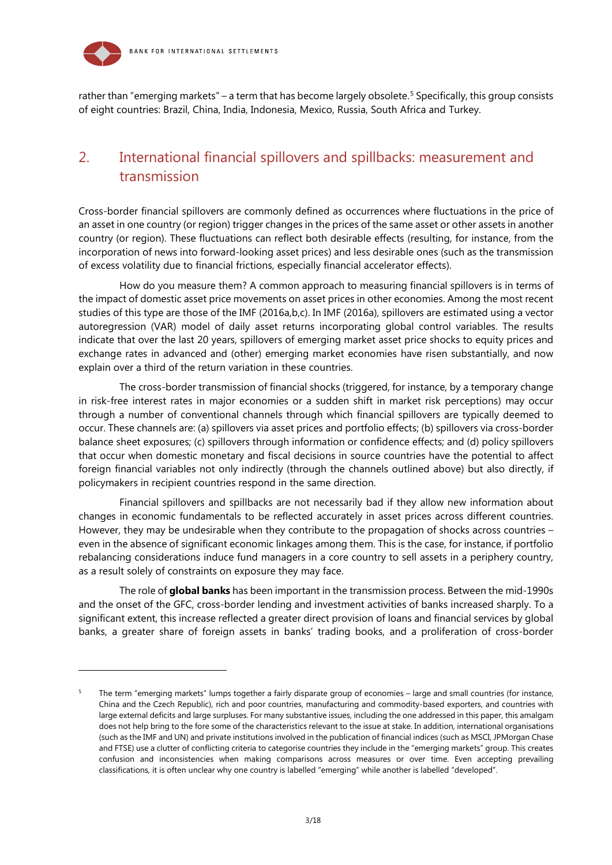

rather than "emerging markets" – a term that has become largely obsolete.<sup>[5](#page-2-0)</sup> Specifically, this group consists of eight countries: Brazil, China, India, Indonesia, Mexico, Russia, South Africa and Turkey.

### 2. International financial spillovers and spillbacks: measurement and transmission

Cross-border financial spillovers are commonly defined as occurrences where fluctuations in the price of an asset in one country (or region) trigger changes in the prices of the same asset or other assets in another country (or region). These fluctuations can reflect both desirable effects (resulting, for instance, from the incorporation of news into forward-looking asset prices) and less desirable ones (such as the transmission of excess volatility due to financial frictions, especially financial accelerator effects).

How do you measure them? A common approach to measuring financial spillovers is in terms of the impact of domestic asset price movements on asset prices in other economies. Among the most recent studies of this type are those of the IMF (2016a,b,c). In IMF (2016a), spillovers are estimated using a vector autoregression (VAR) model of daily asset returns incorporating global control variables. The results indicate that over the last 20 years, spillovers of emerging market asset price shocks to equity prices and exchange rates in advanced and (other) emerging market economies have risen substantially, and now explain over a third of the return variation in these countries.

The cross-border transmission of financial shocks (triggered, for instance, by a temporary change in risk-free interest rates in major economies or a sudden shift in market risk perceptions) may occur through a number of conventional channels through which financial spillovers are typically deemed to occur. These channels are: (a) spillovers via asset prices and portfolio effects; (b) spillovers via cross-border balance sheet exposures; (c) spillovers through information or confidence effects; and (d) policy spillovers that occur when domestic monetary and fiscal decisions in source countries have the potential to affect foreign financial variables not only indirectly (through the channels outlined above) but also directly, if policymakers in recipient countries respond in the same direction.

Financial spillovers and spillbacks are not necessarily bad if they allow new information about changes in economic fundamentals to be reflected accurately in asset prices across different countries. However, they may be undesirable when they contribute to the propagation of shocks across countries – even in the absence of significant economic linkages among them. This is the case, for instance, if portfolio rebalancing considerations induce fund managers in a core country to sell assets in a periphery country, as a result solely of constraints on exposure they may face.

The role of **global banks** has been important in the transmission process. Between the mid-1990s and the onset of the GFC, cross-border lending and investment activities of banks increased sharply. To a significant extent, this increase reflected a greater direct provision of loans and financial services by global banks, a greater share of foreign assets in banks' trading books, and a proliferation of cross-border

<span id="page-2-0"></span><sup>5</sup> The term "emerging markets" lumps together a fairly disparate group of economies – large and small countries (for instance, China and the Czech Republic), rich and poor countries, manufacturing and commodity-based exporters, and countries with large external deficits and large surpluses. For many substantive issues, including the one addressed in this paper, this amalgam does not help bring to the fore some of the characteristics relevant to the issue at stake. In addition, international organisations (such as the IMF and UN) and private institutions involved in the publication of financial indices (such as MSCI, JPMorgan Chase and FTSE) use a clutter of conflicting criteria to categorise countries they include in the "emerging markets" group. This creates confusion and inconsistencies when making comparisons across measures or over time. Even accepting prevailing classifications, it is often unclear why one country is labelled "emerging" while another is labelled "developed".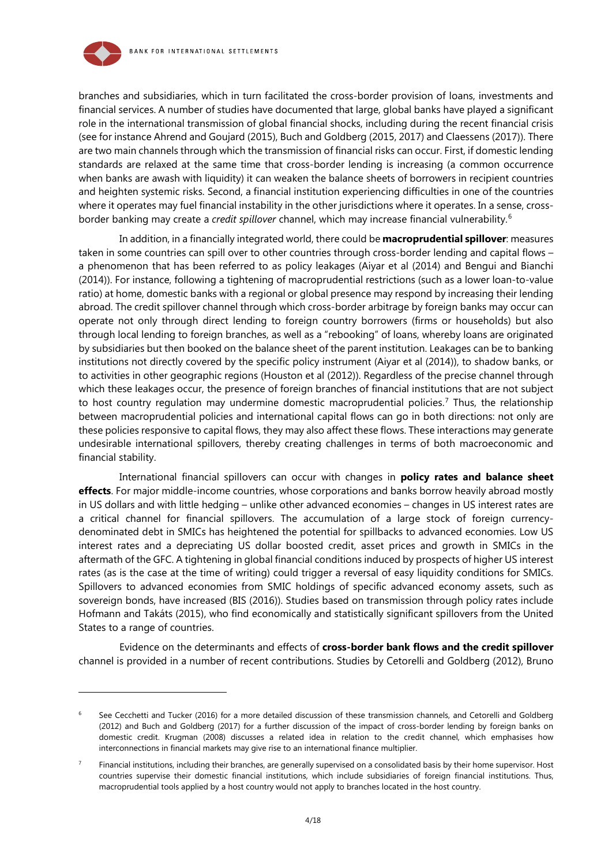

branches and subsidiaries, which in turn facilitated the cross-border provision of loans, investments and financial services. A number of studies have documented that large, global banks have played a significant role in the international transmission of global financial shocks, including during the recent financial crisis (see for instance Ahrend and Goujard (2015), Buch and Goldberg (2015, 2017) and Claessens (2017)). There are two main channels through which the transmission of financial risks can occur. First, if domestic lending standards are relaxed at the same time that cross-border lending is increasing (a common occurrence when banks are awash with liquidity) it can weaken the balance sheets of borrowers in recipient countries and heighten systemic risks. Second, a financial institution experiencing difficulties in one of the countries where it operates may fuel financial instability in the other jurisdictions where it operates. In a sense, crossborder banking may create a *credit spillover* channel, which may increase financial vulnerability.[6](#page-3-0)

In addition, in a financially integrated world, there could be **macroprudential spillover**: measures taken in some countries can spill over to other countries through cross-border lending and capital flows – a phenomenon that has been referred to as policy leakages (Aiyar et al (2014) and Bengui and Bianchi (2014)). For instance, following a tightening of macroprudential restrictions (such as a lower loan-to-value ratio) at home, domestic banks with a regional or global presence may respond by increasing their lending abroad. The credit spillover channel through which cross-border arbitrage by foreign banks may occur can operate not only through direct lending to foreign country borrowers (firms or households) but also through local lending to foreign branches, as well as a "rebooking" of loans, whereby loans are originated by subsidiaries but then booked on the balance sheet of the parent institution. Leakages can be to banking institutions not directly covered by the specific policy instrument (Aiyar et al (2014)), to shadow banks, or to activities in other geographic regions (Houston et al (2012)). Regardless of the precise channel through which these leakages occur, the presence of foreign branches of financial institutions that are not subject to host country regulation may undermine domestic macroprudential policies.[7](#page-3-1) Thus, the relationship between macroprudential policies and international capital flows can go in both directions: not only are these policies responsive to capital flows, they may also affect these flows. These interactions may generate undesirable international spillovers, thereby creating challenges in terms of both macroeconomic and financial stability.

International financial spillovers can occur with changes in **policy rates and balance sheet effects**. For major middle-income countries, whose corporations and banks borrow heavily abroad mostly in US dollars and with little hedging – unlike other advanced economies – changes in US interest rates are a critical channel for financial spillovers. The accumulation of a large stock of foreign currencydenominated debt in SMICs has heightened the potential for spillbacks to advanced economies. Low US interest rates and a depreciating US dollar boosted credit, asset prices and growth in SMICs in the aftermath of the GFC. A tightening in global financial conditions induced by prospects of higher US interest rates (as is the case at the time of writing) could trigger a reversal of easy liquidity conditions for SMICs. Spillovers to advanced economies from SMIC holdings of specific advanced economy assets, such as sovereign bonds, have increased (BIS (2016)). Studies based on transmission through policy rates include Hofmann and Takáts (2015), who find economically and statistically significant spillovers from the United States to a range of countries.

Evidence on the determinants and effects of **cross-border bank flows and the credit spillover** channel is provided in a number of recent contributions. Studies by Cetorelli and Goldberg (2012), Bruno

<span id="page-3-0"></span><sup>6</sup> See Cecchetti and Tucker (2016) for a more detailed discussion of these transmission channels, and Cetorelli and Goldberg (2012) and Buch and Goldberg (2017) for a further discussion of the impact of cross-border lending by foreign banks on domestic credit. Krugman (2008) discusses a related idea in relation to the credit channel, which emphasises how interconnections in financial markets may give rise to an international finance multiplier.

<span id="page-3-1"></span> $<sup>7</sup>$  Financial institutions, including their branches, are generally supervised on a consolidated basis by their home supervisor. Host</sup> countries supervise their domestic financial institutions, which include subsidiaries of foreign financial institutions. Thus, macroprudential tools applied by a host country would not apply to branches located in the host country.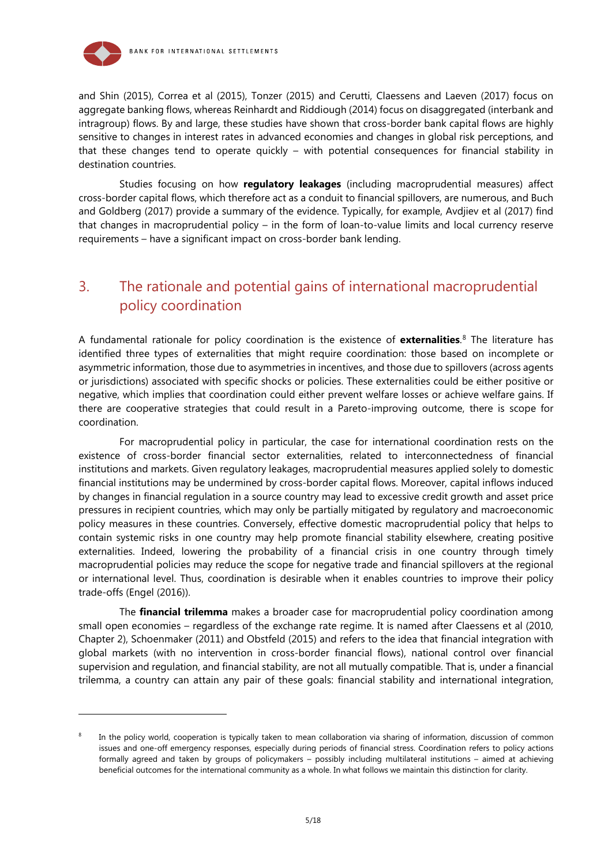

and Shin (2015), Correa et al (2015), Tonzer (2015) and Cerutti, Claessens and Laeven (2017) focus on aggregate banking flows, whereas Reinhardt and Riddiough (2014) focus on disaggregated (interbank and intragroup) flows. By and large, these studies have shown that cross-border bank capital flows are highly sensitive to changes in interest rates in advanced economies and changes in global risk perceptions, and that these changes tend to operate quickly – with potential consequences for financial stability in destination countries.

Studies focusing on how **regulatory leakages** (including macroprudential measures) affect cross-border capital flows, which therefore act as a conduit to financial spillovers, are numerous, and Buch and Goldberg (2017) provide a summary of the evidence. Typically, for example, Avdjiev et al (2017) find that changes in macroprudential policy – in the form of loan-to-value limits and local currency reserve requirements – have a significant impact on cross-border bank lending.

## 3. The rationale and potential gains of international macroprudential policy coordination

A fundamental rationale for policy coordination is the existence of **externalities**. [8](#page-4-0) The literature has identified three types of externalities that might require coordination: those based on incomplete or asymmetric information, those due to asymmetries in incentives, and those due to spillovers (across agents or jurisdictions) associated with specific shocks or policies. These externalities could be either positive or negative, which implies that coordination could either prevent welfare losses or achieve welfare gains. If there are cooperative strategies that could result in a Pareto-improving outcome, there is scope for coordination.

For macroprudential policy in particular, the case for international coordination rests on the existence of cross-border financial sector externalities, related to interconnectedness of financial institutions and markets. Given regulatory leakages, macroprudential measures applied solely to domestic financial institutions may be undermined by cross-border capital flows. Moreover, capital inflows induced by changes in financial regulation in a source country may lead to excessive credit growth and asset price pressures in recipient countries, which may only be partially mitigated by regulatory and macroeconomic policy measures in these countries. Conversely, effective domestic macroprudential policy that helps to contain systemic risks in one country may help promote financial stability elsewhere, creating positive externalities. Indeed, lowering the probability of a financial crisis in one country through timely macroprudential policies may reduce the scope for negative trade and financial spillovers at the regional or international level. Thus, coordination is desirable when it enables countries to improve their policy trade-offs (Engel (2016)).

The **financial trilemma** makes a broader case for macroprudential policy coordination among small open economies – regardless of the exchange rate regime. It is named after Claessens et al (2010, Chapter 2), Schoenmaker (2011) and Obstfeld (2015) and refers to the idea that financial integration with global markets (with no intervention in cross-border financial flows), national control over financial supervision and regulation, and financial stability, are not all mutually compatible. That is, under a financial trilemma, a country can attain any pair of these goals: financial stability and international integration,

<span id="page-4-0"></span>In the policy world, cooperation is typically taken to mean collaboration via sharing of information, discussion of common issues and one-off emergency responses, especially during periods of financial stress. Coordination refers to policy actions formally agreed and taken by groups of policymakers – possibly including multilateral institutions – aimed at achieving beneficial outcomes for the international community as a whole. In what follows we maintain this distinction for clarity.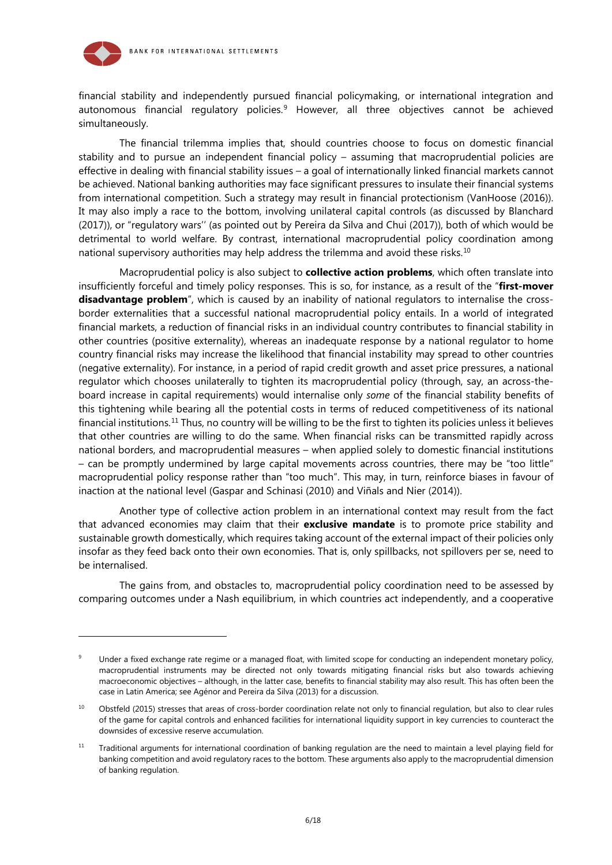

1

financial stability and independently pursued financial policymaking, or international integration and autonomous financial regulatory policies.<sup>[9](#page-5-0)</sup> However, all three objectives cannot be achieved simultaneously.

The financial trilemma implies that, should countries choose to focus on domestic financial stability and to pursue an independent financial policy – assuming that macroprudential policies are effective in dealing with financial stability issues – a goal of internationally linked financial markets cannot be achieved. National banking authorities may face significant pressures to insulate their financial systems from international competition. Such a strategy may result in financial protectionism (VanHoose (2016)). It may also imply a race to the bottom, involving unilateral capital controls (as discussed by Blanchard (2017)), or "regulatory wars'' (as pointed out by Pereira da Silva and Chui (2017)), both of which would be detrimental to world welfare. By contrast, international macroprudential policy coordination among national supervisory authorities may help address the trilemma and avoid these risks.<sup>[10](#page-5-1)</sup>

Macroprudential policy is also subject to **collective action problems**, which often translate into insufficiently forceful and timely policy responses. This is so, for instance, as a result of the "**first-mover disadvantage problem**", which is caused by an inability of national regulators to internalise the crossborder externalities that a successful national macroprudential policy entails. In a world of integrated financial markets, a reduction of financial risks in an individual country contributes to financial stability in other countries (positive externality), whereas an inadequate response by a national regulator to home country financial risks may increase the likelihood that financial instability may spread to other countries (negative externality). For instance, in a period of rapid credit growth and asset price pressures, a national regulator which chooses unilaterally to tighten its macroprudential policy (through, say, an across-theboard increase in capital requirements) would internalise only *some* of the financial stability benefits of this tightening while bearing all the potential costs in terms of reduced competitiveness of its national financial institutions.[11](#page-5-2) Thus, no country will be willing to be the first to tighten its policies unless it believes that other countries are willing to do the same. When financial risks can be transmitted rapidly across national borders, and macroprudential measures – when applied solely to domestic financial institutions – can be promptly undermined by large capital movements across countries, there may be "too little" macroprudential policy response rather than "too much". This may, in turn, reinforce biases in favour of inaction at the national level (Gaspar and Schinasi (2010) and Viñals and Nier (2014)).

Another type of collective action problem in an international context may result from the fact that advanced economies may claim that their **exclusive mandate** is to promote price stability and sustainable growth domestically, which requires taking account of the external impact of their policies only insofar as they feed back onto their own economies. That is, only spillbacks, not spillovers per se, need to be internalised.

The gains from, and obstacles to, macroprudential policy coordination need to be assessed by comparing outcomes under a Nash equilibrium, in which countries act independently, and a cooperative

<span id="page-5-0"></span>Under a fixed exchange rate regime or a managed float, with limited scope for conducting an independent monetary policy, macroprudential instruments may be directed not only towards mitigating financial risks but also towards achieving macroeconomic objectives – although, in the latter case, benefits to financial stability may also result. This has often been the case in Latin America; see Agénor and Pereira da Silva (2013) for a discussion.

<span id="page-5-1"></span><sup>&</sup>lt;sup>10</sup> Obstfeld (2015) stresses that areas of cross-border coordination relate not only to financial regulation, but also to clear rules of the game for capital controls and enhanced facilities for international liquidity support in key currencies to counteract the downsides of excessive reserve accumulation.

<span id="page-5-2"></span> $11$  Traditional arguments for international coordination of banking regulation are the need to maintain a level playing field for banking competition and avoid regulatory races to the bottom. These arguments also apply to the macroprudential dimension of banking regulation.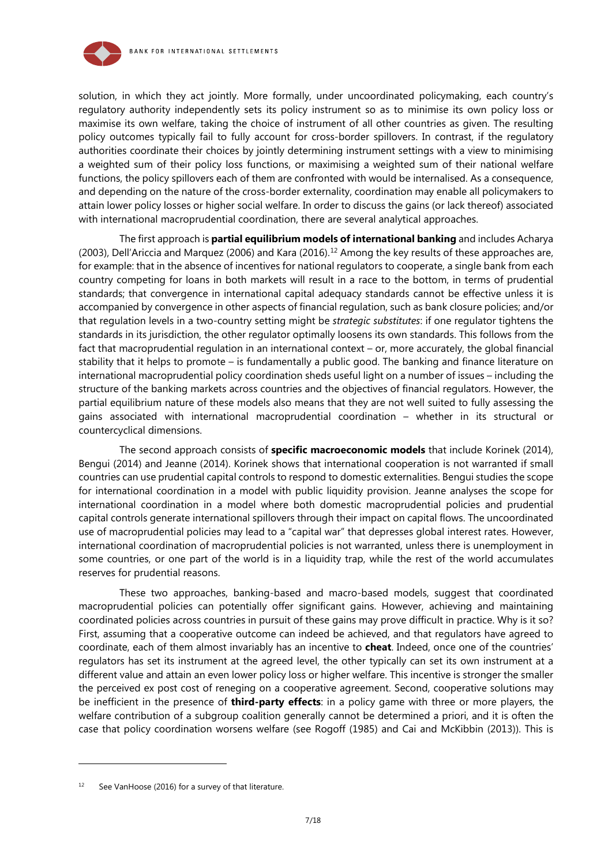

solution, in which they act jointly. More formally, under uncoordinated policymaking, each country's regulatory authority independently sets its policy instrument so as to minimise its own policy loss or maximise its own welfare, taking the choice of instrument of all other countries as given. The resulting policy outcomes typically fail to fully account for cross-border spillovers. In contrast, if the regulatory authorities coordinate their choices by jointly determining instrument settings with a view to minimising a weighted sum of their policy loss functions, or maximising a weighted sum of their national welfare functions, the policy spillovers each of them are confronted with would be internalised. As a consequence, and depending on the nature of the cross-border externality, coordination may enable all policymakers to attain lower policy losses or higher social welfare. In order to discuss the gains (or lack thereof) associated with international macroprudential coordination, there are several analytical approaches.

The first approach is **partial equilibrium models of international banking** and includes Acharya (2003), Dell'Ariccia and Marquez (2006) and Kara (2016).<sup>[12](#page-6-0)</sup> Among the key results of these approaches are, for example: that in the absence of incentives for national regulators to cooperate, a single bank from each country competing for loans in both markets will result in a race to the bottom, in terms of prudential standards; that convergence in international capital adequacy standards cannot be effective unless it is accompanied by convergence in other aspects of financial regulation, such as bank closure policies; and/or that regulation levels in a two-country setting might be *strategic substitutes*: if one regulator tightens the standards in its jurisdiction, the other regulator optimally loosens its own standards. This follows from the fact that macroprudential regulation in an international context – or, more accurately, the global financial stability that it helps to promote – is fundamentally a public good. The banking and finance literature on international macroprudential policy coordination sheds useful light on a number of issues – including the structure of the banking markets across countries and the objectives of financial regulators. However, the partial equilibrium nature of these models also means that they are not well suited to fully assessing the gains associated with international macroprudential coordination – whether in its structural or countercyclical dimensions.

The second approach consists of **specific macroeconomic models** that include Korinek (2014), Bengui (2014) and Jeanne (2014). Korinek shows that international cooperation is not warranted if small countries can use prudential capital controls to respond to domestic externalities. Bengui studies the scope for international coordination in a model with public liquidity provision. Jeanne analyses the scope for international coordination in a model where both domestic macroprudential policies and prudential capital controls generate international spillovers through their impact on capital flows. The uncoordinated use of macroprudential policies may lead to a "capital war" that depresses global interest rates. However, international coordination of macroprudential policies is not warranted, unless there is unemployment in some countries, or one part of the world is in a liquidity trap, while the rest of the world accumulates reserves for prudential reasons.

These two approaches, banking-based and macro-based models, suggest that coordinated macroprudential policies can potentially offer significant gains. However, achieving and maintaining coordinated policies across countries in pursuit of these gains may prove difficult in practice. Why is it so? First, assuming that a cooperative outcome can indeed be achieved, and that regulators have agreed to coordinate, each of them almost invariably has an incentive to **cheat**. Indeed, once one of the countries' regulators has set its instrument at the agreed level, the other typically can set its own instrument at a different value and attain an even lower policy loss or higher welfare. This incentive is stronger the smaller the perceived ex post cost of reneging on a cooperative agreement. Second, cooperative solutions may be inefficient in the presence of **third-party effects**: in a policy game with three or more players, the welfare contribution of a subgroup coalition generally cannot be determined a priori, and it is often the case that policy coordination worsens welfare (see Rogoff (1985) and Cai and McKibbin (2013)). This is

-

<span id="page-6-0"></span> $12$  See VanHoose (2016) for a survey of that literature.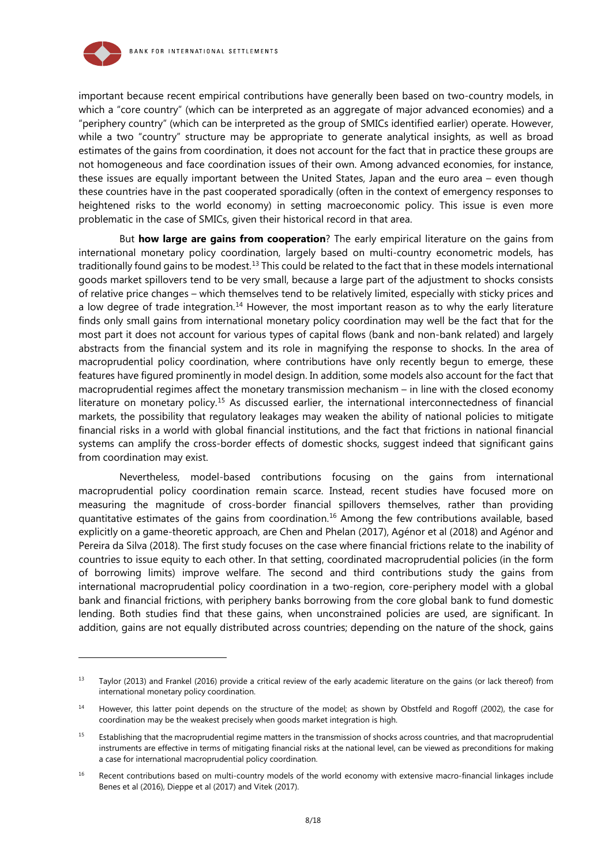

important because recent empirical contributions have generally been based on two-country models, in which a "core country" (which can be interpreted as an aggregate of major advanced economies) and a "periphery country" (which can be interpreted as the group of SMICs identified earlier) operate. However, while a two "country" structure may be appropriate to generate analytical insights, as well as broad estimates of the gains from coordination, it does not account for the fact that in practice these groups are not homogeneous and face coordination issues of their own. Among advanced economies, for instance, these issues are equally important between the United States, Japan and the euro area – even though these countries have in the past cooperated sporadically (often in the context of emergency responses to heightened risks to the world economy) in setting macroeconomic policy. This issue is even more problematic in the case of SMICs, given their historical record in that area.

But **how large are gains from cooperation**? The early empirical literature on the gains from international monetary policy coordination, largely based on multi-country econometric models, has traditionally found gains to be modest.[13](#page-7-0) This could be related to the fact that in these models international goods market spillovers tend to be very small, because a large part of the adjustment to shocks consists of relative price changes – which themselves tend to be relatively limited, especially with sticky prices and a low degree of trade integration.<sup>[14](#page-7-1)</sup> However, the most important reason as to why the early literature finds only small gains from international monetary policy coordination may well be the fact that for the most part it does not account for various types of capital flows (bank and non-bank related) and largely abstracts from the financial system and its role in magnifying the response to shocks. In the area of macroprudential policy coordination, where contributions have only recently begun to emerge, these features have figured prominently in model design. In addition, some models also account for the fact that macroprudential regimes affect the monetary transmission mechanism – in line with the closed economy literature on monetary policy.[15](#page-7-2) As discussed earlier, the international interconnectedness of financial markets, the possibility that regulatory leakages may weaken the ability of national policies to mitigate financial risks in a world with global financial institutions, and the fact that frictions in national financial systems can amplify the cross-border effects of domestic shocks, suggest indeed that significant gains from coordination may exist.

Nevertheless, model-based contributions focusing on the gains from international macroprudential policy coordination remain scarce. Instead, recent studies have focused more on measuring the magnitude of cross-border financial spillovers themselves, rather than providing quantitative estimates of the gains from coordination.<sup>[16](#page-7-3)</sup> Among the few contributions available, based explicitly on a game-theoretic approach, are Chen and Phelan (2017), Agénor et al (2018) and Agénor and Pereira da Silva (2018). The first study focuses on the case where financial frictions relate to the inability of countries to issue equity to each other. In that setting, coordinated macroprudential policies (in the form of borrowing limits) improve welfare. The second and third contributions study the gains from international macroprudential policy coordination in a two-region, core-periphery model with a global bank and financial frictions, with periphery banks borrowing from the core global bank to fund domestic lending. Both studies find that these gains, when unconstrained policies are used, are significant. In addition, gains are not equally distributed across countries; depending on the nature of the shock, gains

<span id="page-7-0"></span><sup>&</sup>lt;sup>13</sup> Taylor (2013) and Frankel (2016) provide a critical review of the early academic literature on the gains (or lack thereof) from international monetary policy coordination.

<span id="page-7-1"></span><sup>&</sup>lt;sup>14</sup> However, this latter point depends on the structure of the model; as shown by Obstfeld and Rogoff (2002), the case for coordination may be the weakest precisely when goods market integration is high.

<span id="page-7-2"></span><sup>&</sup>lt;sup>15</sup> Establishing that the macroprudential regime matters in the transmission of shocks across countries, and that macroprudential instruments are effective in terms of mitigating financial risks at the national level, can be viewed as preconditions for making a case for international macroprudential policy coordination.

<span id="page-7-3"></span><sup>&</sup>lt;sup>16</sup> Recent contributions based on multi-country models of the world economy with extensive macro-financial linkages include Benes et al (2016), Dieppe et al (2017) and Vitek (2017).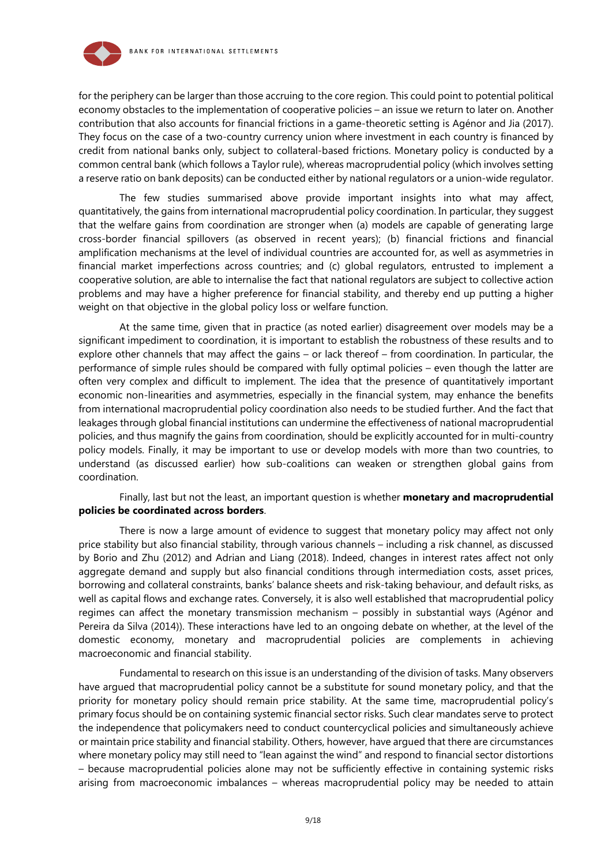

for the periphery can be larger than those accruing to the core region. This could point to potential political economy obstacles to the implementation of cooperative policies – an issue we return to later on. Another contribution that also accounts for financial frictions in a game-theoretic setting is Agénor and Jia (2017). They focus on the case of a two-country currency union where investment in each country is financed by credit from national banks only, subject to collateral-based frictions. Monetary policy is conducted by a common central bank (which follows a Taylor rule), whereas macroprudential policy (which involves setting a reserve ratio on bank deposits) can be conducted either by national regulators or a union-wide regulator.

The few studies summarised above provide important insights into what may affect, quantitatively, the gains from international macroprudential policy coordination. In particular, they suggest that the welfare gains from coordination are stronger when (a) models are capable of generating large cross-border financial spillovers (as observed in recent years); (b) financial frictions and financial amplification mechanisms at the level of individual countries are accounted for, as well as asymmetries in financial market imperfections across countries; and (c) global regulators, entrusted to implement a cooperative solution, are able to internalise the fact that national regulators are subject to collective action problems and may have a higher preference for financial stability, and thereby end up putting a higher weight on that objective in the global policy loss or welfare function.

At the same time, given that in practice (as noted earlier) disagreement over models may be a significant impediment to coordination, it is important to establish the robustness of these results and to explore other channels that may affect the gains – or lack thereof – from coordination. In particular, the performance of simple rules should be compared with fully optimal policies – even though the latter are often very complex and difficult to implement. The idea that the presence of quantitatively important economic non-linearities and asymmetries, especially in the financial system, may enhance the benefits from international macroprudential policy coordination also needs to be studied further. And the fact that leakages through global financial institutions can undermine the effectiveness of national macroprudential policies, and thus magnify the gains from coordination, should be explicitly accounted for in multi-country policy models. Finally, it may be important to use or develop models with more than two countries, to understand (as discussed earlier) how sub-coalitions can weaken or strengthen global gains from coordination.

#### Finally, last but not the least, an important question is whether **monetary and macroprudential policies be coordinated across borders**.

There is now a large amount of evidence to suggest that monetary policy may affect not only price stability but also financial stability, through various channels – including a risk channel, as discussed by Borio and Zhu (2012) and Adrian and Liang (2018). Indeed, changes in interest rates affect not only aggregate demand and supply but also financial conditions through intermediation costs, asset prices, borrowing and collateral constraints, banks' balance sheets and risk-taking behaviour, and default risks, as well as capital flows and exchange rates. Conversely, it is also well established that macroprudential policy regimes can affect the monetary transmission mechanism – possibly in substantial ways (Agénor and Pereira da Silva (2014)). These interactions have led to an ongoing debate on whether, at the level of the domestic economy, monetary and macroprudential policies are complements in achieving macroeconomic and financial stability.

Fundamental to research on this issue is an understanding of the division of tasks. Many observers have argued that macroprudential policy cannot be a substitute for sound monetary policy, and that the priority for monetary policy should remain price stability. At the same time, macroprudential policy's primary focus should be on containing systemic financial sector risks. Such clear mandates serve to protect the independence that policymakers need to conduct countercyclical policies and simultaneously achieve or maintain price stability and financial stability. Others, however, have argued that there are circumstances where monetary policy may still need to "lean against the wind" and respond to financial sector distortions – because macroprudential policies alone may not be sufficiently effective in containing systemic risks arising from macroeconomic imbalances – whereas macroprudential policy may be needed to attain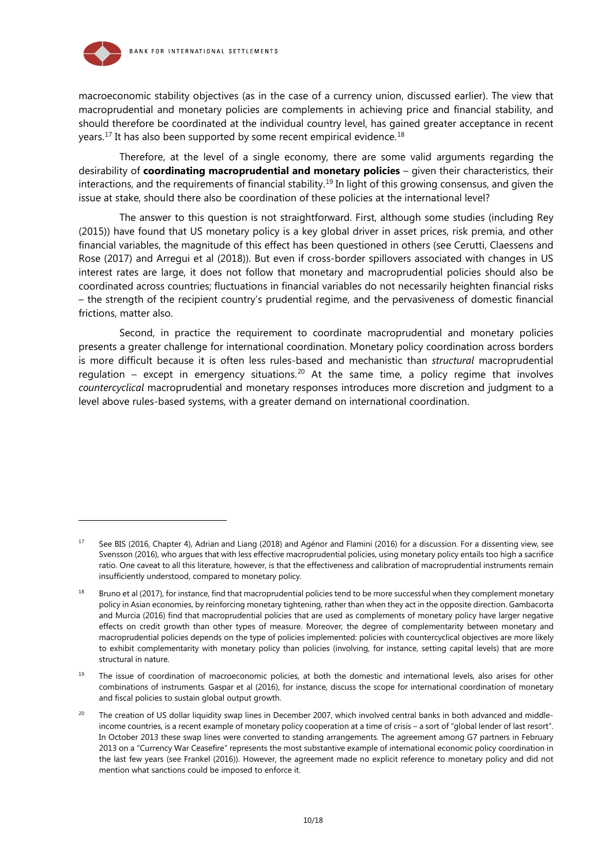

macroeconomic stability objectives (as in the case of a currency union, discussed earlier). The view that macroprudential and monetary policies are complements in achieving price and financial stability, and should therefore be coordinated at the individual country level, has gained greater acceptance in recent years.<sup>[17](#page-9-0)</sup> It has also been supported by some recent empirical evidence.<sup>[18](#page-9-1)</sup>

Therefore, at the level of a single economy, there are some valid arguments regarding the desirability of **coordinating macroprudential and monetary policies** – given their characteristics, their interactions, and the requirements of financial stability.<sup>[19](#page-9-2)</sup> In light of this growing consensus, and given the issue at stake, should there also be coordination of these policies at the international level?

The answer to this question is not straightforward. First, although some studies (including Rey (2015)) have found that US monetary policy is a key global driver in asset prices, risk premia, and other financial variables, the magnitude of this effect has been questioned in others (see Cerutti, Claessens and Rose (2017) and Arregui et al (2018)). But even if cross-border spillovers associated with changes in US interest rates are large, it does not follow that monetary and macroprudential policies should also be coordinated across countries; fluctuations in financial variables do not necessarily heighten financial risks – the strength of the recipient country's prudential regime, and the pervasiveness of domestic financial frictions, matter also.

Second, in practice the requirement to coordinate macroprudential and monetary policies presents a greater challenge for international coordination. Monetary policy coordination across borders is more difficult because it is often less rules-based and mechanistic than *structural* macroprudential regulation – except in emergency situations.<sup>[20](#page-9-3)</sup> At the same time, a policy regime that involves *countercyclical* macroprudential and monetary responses introduces more discretion and judgment to a level above rules-based systems, with a greater demand on international coordination.

<span id="page-9-0"></span>See BIS (2016, Chapter 4), Adrian and Liang (2018) and Agénor and Flamini (2016) for a discussion. For a dissenting view, see Svensson (2016), who argues that with less effective macroprudential policies, using monetary policy entails too high a sacrifice ratio. One caveat to all this literature, however, is that the effectiveness and calibration of macroprudential instruments remain insufficiently understood, compared to monetary policy.

<span id="page-9-1"></span><sup>&</sup>lt;sup>18</sup> Bruno et al (2017), for instance, find that macroprudential policies tend to be more successful when they complement monetary policy in Asian economies, by reinforcing monetary tightening, rather than when they act in the opposite direction. Gambacorta and Murcia (2016) find that macroprudential policies that are used as complements of monetary policy have larger negative effects on credit growth than other types of measure. Moreover, the degree of complementarity between monetary and macroprudential policies depends on the type of policies implemented: policies with countercyclical objectives are more likely to exhibit complementarity with monetary policy than policies (involving, for instance, setting capital levels) that are more structural in nature.

<span id="page-9-2"></span><sup>&</sup>lt;sup>19</sup> The issue of coordination of macroeconomic policies, at both the domestic and international levels, also arises for other combinations of instruments. Gaspar et al (2016), for instance, discuss the scope for international coordination of monetary and fiscal policies to sustain global output growth.

<span id="page-9-3"></span><sup>&</sup>lt;sup>20</sup> The creation of US dollar liquidity swap lines in December 2007, which involved central banks in both advanced and middleincome countries, is a recent example of monetary policy cooperation at a time of crisis – a sort of "global lender of last resort". In October 2013 these swap lines were converted to standing arrangements. The agreement among G7 partners in February 2013 on a "Currency War Ceasefire" represents the most substantive example of international economic policy coordination in the last few years (see Frankel (2016)). However, the agreement made no explicit reference to monetary policy and did not mention what sanctions could be imposed to enforce it.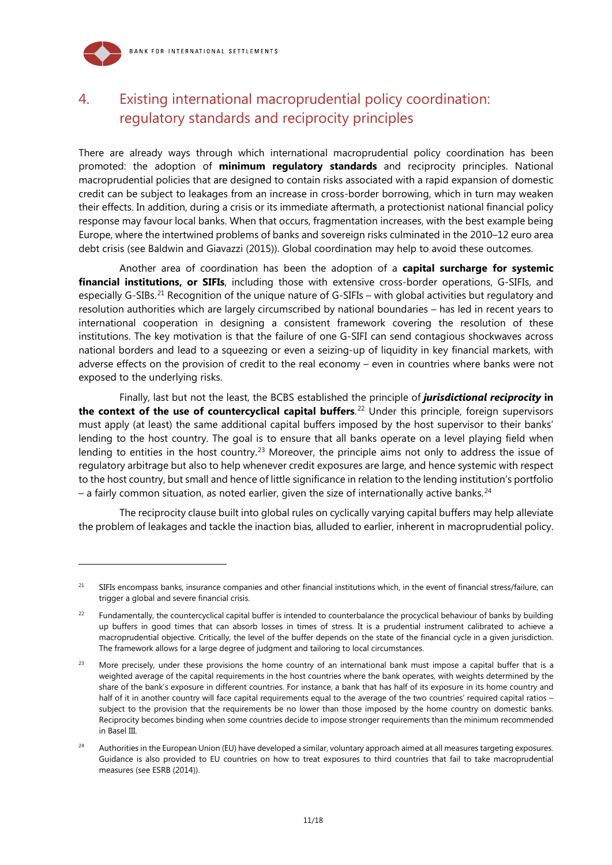

# 4. Existing international macroprudential policy coordination: regulatory standards and reciprocity principles

There are already ways through which international macroprudential policy coordination has been promoted: the adoption of **minimum regulatory standards** and reciprocity principles. National macroprudential policies that are designed to contain risks associated with a rapid expansion of domestic credit can be subject to leakages from an increase in cross-border borrowing, which in turn may weaken their effects. In addition, during a crisis or its immediate aftermath, a protectionist national financial policy response may favour local banks. When that occurs, fragmentation increases, with the best example being Europe, where the intertwined problems of banks and sovereign risks culminated in the 2010–12 euro area debt crisis (see Baldwin and Giavazzi (2015)). Global coordination may help to avoid these outcomes.

Another area of coordination has been the adoption of a **capital surcharge for systemic financial institutions, or SIFIs**, including those with extensive cross-border operations, G-SIFIs, and especially G-SIBs.<sup>[21](#page-10-0)</sup> Recognition of the unique nature of G-SIFIs – with global activities but regulatory and resolution authorities which are largely circumscribed by national boundaries – has led in recent years to international cooperation in designing a consistent framework covering the resolution of these institutions. The key motivation is that the failure of one G-SIFI can send contagious shockwaves across national borders and lead to a squeezing or even a seizing-up of liquidity in key financial markets, with adverse effects on the provision of credit to the real economy – even in countries where banks were not exposed to the underlying risks.

Finally, last but not the least, the BCBS established the principle of *jurisdictional reciprocity* **in the context of the use of countercyclical capital buffers**. [22](#page-10-1) Under this principle, foreign supervisors must apply (at least) the same additional capital buffers imposed by the host supervisor to their banks' lending to the host country. The goal is to ensure that all banks operate on a level playing field when lending to entities in the host country.<sup>[23](#page-10-2)</sup> Moreover, the principle aims not only to address the issue of regulatory arbitrage but also to help whenever credit exposures are large, and hence systemic with respect to the host country, but small and hence of little significance in relation to the lending institution's portfolio – a fairly common situation, as noted earlier, given the size of internationally active banks.<sup>[24](#page-10-3)</sup>

The reciprocity clause built into global rules on cyclically varying capital buffers may help alleviate the problem of leakages and tackle the inaction bias, alluded to earlier, inherent in macroprudential policy.

<span id="page-10-0"></span><sup>&</sup>lt;sup>21</sup> SIFIs encompass banks, insurance companies and other financial institutions which, in the event of financial stress/failure, can trigger a global and severe financial crisis.

<span id="page-10-1"></span><sup>&</sup>lt;sup>22</sup> Fundamentally, the countercyclical capital buffer is intended to counterbalance the procyclical behaviour of banks by building up buffers in good times that can absorb losses in times of stress. It is a prudential instrument calibrated to achieve a macroprudential objective. Critically, the level of the buffer depends on the state of the financial cycle in a given jurisdiction. The framework allows for a large degree of judgment and tailoring to local circumstances.

<span id="page-10-2"></span><sup>&</sup>lt;sup>23</sup> More precisely, under these provisions the home country of an international bank must impose a capital buffer that is a weighted average of the capital requirements in the host countries where the bank operates, with weights determined by the share of the bank's exposure in different countries. For instance, a bank that has half of its exposure in its home country and half of it in another country will face capital requirements equal to the average of the two countries' required capital ratios – subject to the provision that the requirements be no lower than those imposed by the home country on domestic banks. Reciprocity becomes binding when some countries decide to impose stronger requirements than the minimum recommended in Basel III.

<span id="page-10-3"></span><sup>&</sup>lt;sup>24</sup> Authorities in the European Union (EU) have developed a similar, voluntary approach aimed at all measures targeting exposures. Guidance is also provided to EU countries on how to treat exposures to third countries that fail to take macroprudential measures (see ESRB (2014)).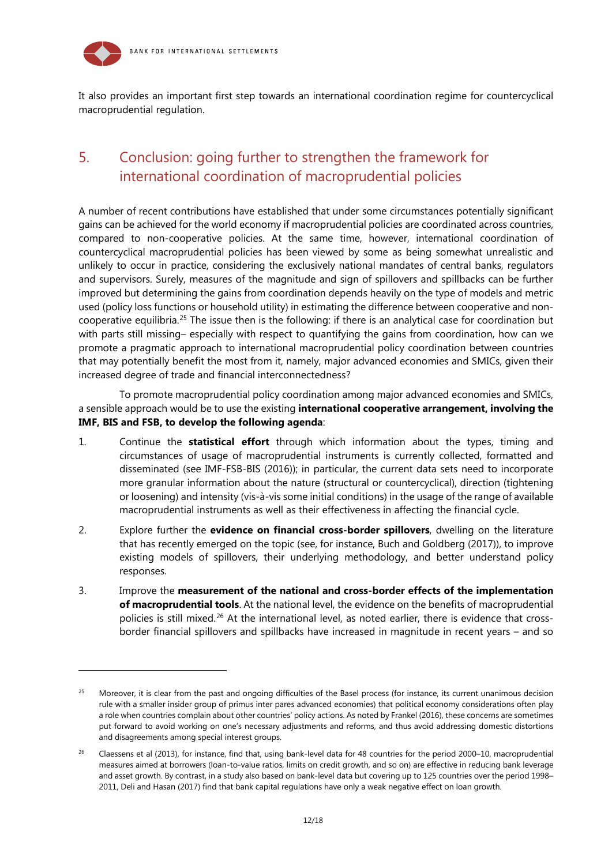

It also provides an important first step towards an international coordination regime for countercyclical macroprudential regulation.

5. Conclusion: going further to strengthen the framework for international coordination of macroprudential policies

A number of recent contributions have established that under some circumstances potentially significant gains can be achieved for the world economy if macroprudential policies are coordinated across countries, compared to non-cooperative policies. At the same time, however, international coordination of countercyclical macroprudential policies has been viewed by some as being somewhat unrealistic and unlikely to occur in practice, considering the exclusively national mandates of central banks, regulators and supervisors. Surely, measures of the magnitude and sign of spillovers and spillbacks can be further improved but determining the gains from coordination depends heavily on the type of models and metric used (policy loss functions or household utility) in estimating the difference between cooperative and noncooperative equilibria.[25](#page-11-0) The issue then is the following: if there is an analytical case for coordination but with parts still missing– especially with respect to quantifying the gains from coordination, how can we promote a pragmatic approach to international macroprudential policy coordination between countries that may potentially benefit the most from it, namely, major advanced economies and SMICs, given their increased degree of trade and financial interconnectedness?

To promote macroprudential policy coordination among major advanced economies and SMICs, a sensible approach would be to use the existing **international cooperative arrangement, involving the IMF, BIS and FSB, to develop the following agenda**:

- 1. Continue the **statistical effort** through which information about the types, timing and circumstances of usage of macroprudential instruments is currently collected, formatted and disseminated (see IMF-FSB-BIS (2016)); in particular, the current data sets need to incorporate more granular information about the nature (structural or countercyclical), direction (tightening or loosening) and intensity (vis-à-vis some initial conditions) in the usage of the range of available macroprudential instruments as well as their effectiveness in affecting the financial cycle.
- 2. Explore further the **evidence on financial cross-border spillovers**, dwelling on the literature that has recently emerged on the topic (see, for instance, Buch and Goldberg (2017)), to improve existing models of spillovers, their underlying methodology, and better understand policy responses.
- 3. Improve the **measurement of the national and cross-border effects of the implementation of macroprudential tools**. At the national level, the evidence on the benefits of macroprudential policies is still mixed.<sup>[26](#page-11-1)</sup> At the international level, as noted earlier, there is evidence that crossborder financial spillovers and spillbacks have increased in magnitude in recent years – and so

<span id="page-11-0"></span><sup>&</sup>lt;sup>25</sup> Moreover, it is clear from the past and ongoing difficulties of the Basel process (for instance, its current unanimous decision rule with a smaller insider group of primus inter pares advanced economies) that political economy considerations often play a role when countries complain about other countries' policy actions. As noted by Frankel (2016), these concerns are sometimes put forward to avoid working on one's necessary adjustments and reforms, and thus avoid addressing domestic distortions and disagreements among special interest groups.

<span id="page-11-1"></span> $26$  Claessens et al (2013), for instance, find that, using bank-level data for 48 countries for the period 2000–10, macroprudential measures aimed at borrowers (loan-to-value ratios, limits on credit growth, and so on) are effective in reducing bank leverage and asset growth. By contrast, in a study also based on bank-level data but covering up to 125 countries over the period 1998– 2011, Deli and Hasan (2017) find that bank capital regulations have only a weak negative effect on loan growth.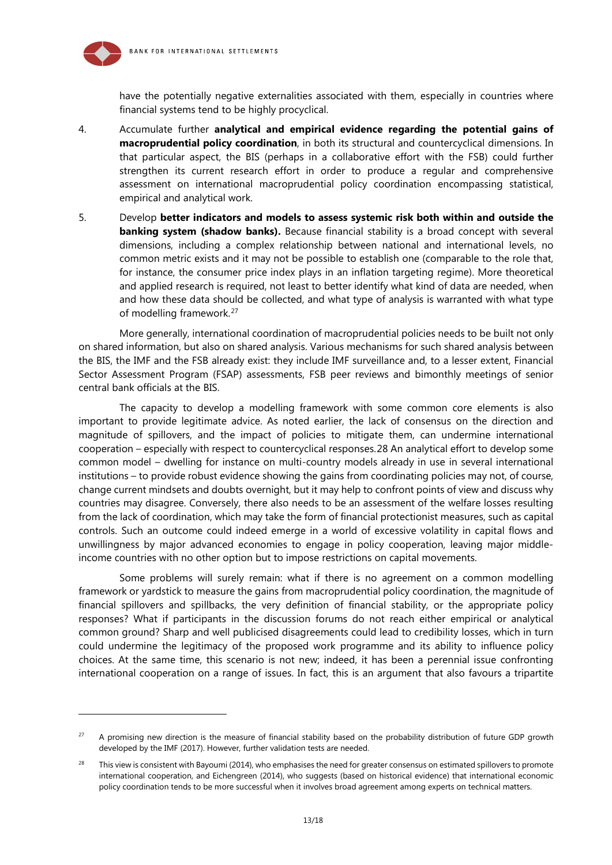

have the potentially negative externalities associated with them, especially in countries where financial systems tend to be highly procyclical.

- 4. Accumulate further **analytical and empirical evidence regarding the potential gains of macroprudential policy coordination**, in both its structural and countercyclical dimensions. In that particular aspect, the BIS (perhaps in a collaborative effort with the FSB) could further strengthen its current research effort in order to produce a regular and comprehensive assessment on international macroprudential policy coordination encompassing statistical, empirical and analytical work.
- 5. Develop **better indicators and models to assess systemic risk both within and outside the banking system (shadow banks).** Because financial stability is a broad concept with several dimensions, including a complex relationship between national and international levels, no common metric exists and it may not be possible to establish one (comparable to the role that, for instance, the consumer price index plays in an inflation targeting regime). More theoretical and applied research is required, not least to better identify what kind of data are needed, when and how these data should be collected, and what type of analysis is warranted with what type of modelling framework.<sup>[27](#page-12-0)</sup>

More generally, international coordination of macroprudential policies needs to be built not only on shared information, but also on shared analysis. Various mechanisms for such shared analysis between the BIS, the IMF and the FSB already exist: they include IMF surveillance and, to a lesser extent, Financial Sector Assessment Program (FSAP) assessments, FSB peer reviews and bimonthly meetings of senior central bank officials at the BIS.

The capacity to develop a modelling framework with some common core elements is also important to provide legitimate advice. As noted earlier, the lack of consensus on the direction and magnitude of spillovers, and the impact of policies to mitigate them, can undermine international cooperation – especially with respect to countercyclical responses.[28](#page-12-1) An analytical effort to develop some common model – dwelling for instance on multi-country models already in use in several international institutions – to provide robust evidence showing the gains from coordinating policies may not, of course, change current mindsets and doubts overnight, but it may help to confront points of view and discuss why countries may disagree. Conversely, there also needs to be an assessment of the welfare losses resulting from the lack of coordination, which may take the form of financial protectionist measures, such as capital controls. Such an outcome could indeed emerge in a world of excessive volatility in capital flows and unwillingness by major advanced economies to engage in policy cooperation, leaving major middleincome countries with no other option but to impose restrictions on capital movements.

Some problems will surely remain: what if there is no agreement on a common modelling framework or yardstick to measure the gains from macroprudential policy coordination, the magnitude of financial spillovers and spillbacks, the very definition of financial stability, or the appropriate policy responses? What if participants in the discussion forums do not reach either empirical or analytical common ground? Sharp and well publicised disagreements could lead to credibility losses, which in turn could undermine the legitimacy of the proposed work programme and its ability to influence policy choices. At the same time, this scenario is not new; indeed, it has been a perennial issue confronting international cooperation on a range of issues. In fact, this is an argument that also favours a tripartite

<span id="page-12-0"></span><sup>27</sup> A promising new direction is the measure of financial stability based on the probability distribution of future GDP growth developed by the IMF (2017). However, further validation tests are needed.

<span id="page-12-1"></span><sup>&</sup>lt;sup>28</sup> This view is consistent with Bayoumi (2014), who emphasises the need for greater consensus on estimated spillovers to promote international cooperation, and Eichengreen (2014), who suggests (based on historical evidence) that international economic policy coordination tends to be more successful when it involves broad agreement among experts on technical matters.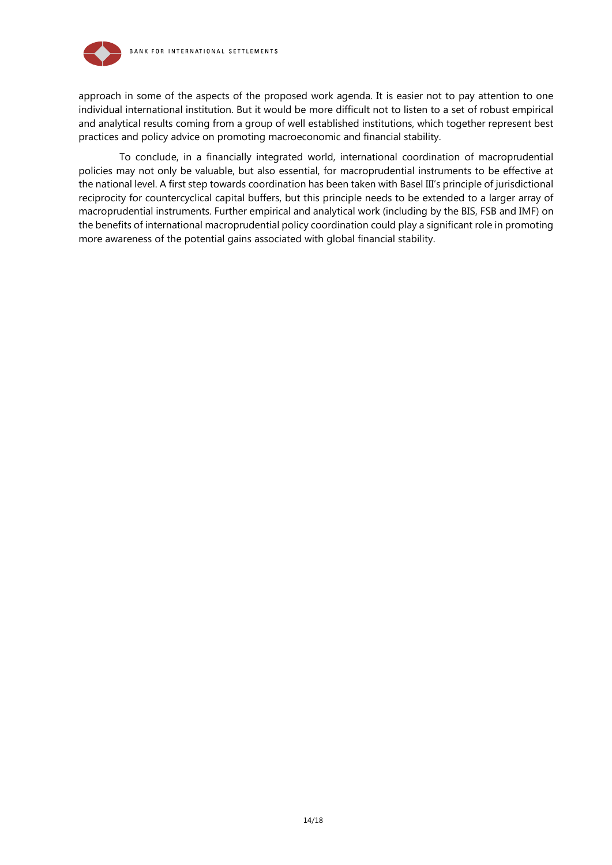

approach in some of the aspects of the proposed work agenda. It is easier not to pay attention to one individual international institution. But it would be more difficult not to listen to a set of robust empirical and analytical results coming from a group of well established institutions, which together represent best practices and policy advice on promoting macroeconomic and financial stability.

To conclude, in a financially integrated world, international coordination of macroprudential policies may not only be valuable, but also essential, for macroprudential instruments to be effective at the national level. A first step towards coordination has been taken with Basel III's principle of jurisdictional reciprocity for countercyclical capital buffers, but this principle needs to be extended to a larger array of macroprudential instruments. Further empirical and analytical work (including by the BIS, FSB and IMF) on the benefits of international macroprudential policy coordination could play a significant role in promoting more awareness of the potential gains associated with global financial stability.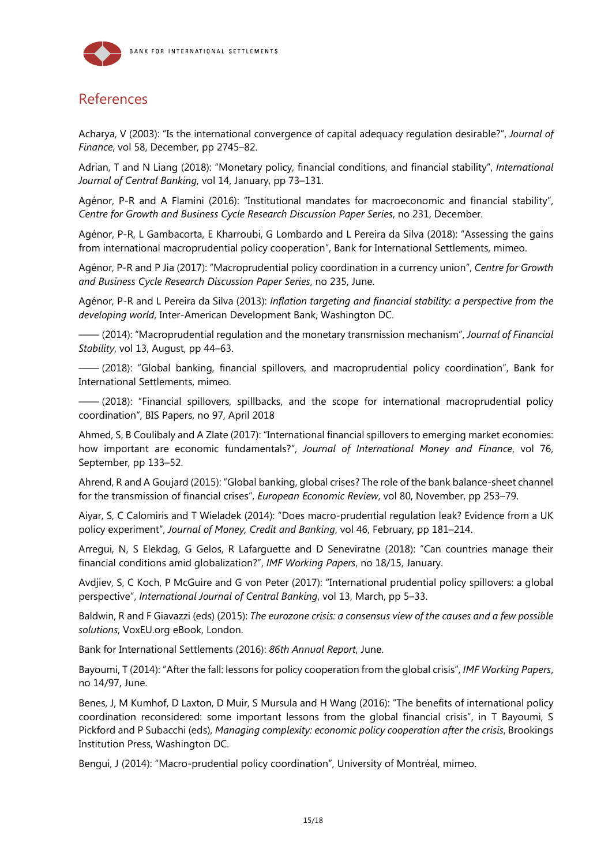

#### References

Acharya, V (2003): "Is the international convergence of capital adequacy regulation desirable?", *Journal of Finance*, vol 58, December, pp 2745–82.

Adrian, T and N Liang (2018): "Monetary policy, financial conditions, and financial stability", *International Journal of Central Banking*, vol 14, January, pp 73–131.

Agénor, P-R and A Flamini (2016): "Institutional mandates for macroeconomic and financial stability", *Centre for Growth and Business Cycle Research Discussion Paper Series*, no 231, December.

Agénor, P-R, L Gambacorta, E Kharroubi, G Lombardo and L Pereira da Silva (2018): "Assessing the gains from international macroprudential policy cooperation", Bank for International Settlements, mimeo.

Agénor, P-R and P Jia (2017): "Macroprudential policy coordination in a currency union", *Centre for Growth and Business Cycle Research Discussion Paper Series*, no 235, June.

Agénor, P-R and L Pereira da Silva (2013): *Inflation targeting and financial stability: a perspective from the developing world*, Inter-American Development Bank, Washington DC.

—— (2014): "Macroprudential regulation and the monetary transmission mechanism", *Journal of Financial Stability*, vol 13, August, pp 44–63.

—— (2018): "Global banking, financial spillovers, and macroprudential policy coordination", Bank for International Settlements, mimeo.

—— (2018): "Financial spillovers, spillbacks, and the scope for international macroprudential policy coordination", BIS Papers, no 97, April 2018

Ahmed, S, B Coulibaly and A Zlate (2017): "International financial spillovers to emerging market economies: how important are economic fundamentals?", *Journal of International Money and Finance*, vol 76, September, pp 133–52.

Ahrend, R and A Goujard (2015): "Global banking, global crises? The role of the bank balance-sheet channel for the transmission of financial crises", *European Economic Review*, vol 80, November, pp 253–79.

Aiyar, S, C Calomiris and T Wieladek (2014): "Does macro-prudential regulation leak? Evidence from a UK policy experiment", *Journal of Money, Credit and Banking*, vol 46, February, pp 181–214.

Arregui, N, S Elekdag, G Gelos, R Lafarguette and D Seneviratne (2018): "Can countries manage their financial conditions amid globalization?", *IMF Working Papers*, no 18/15, January.

Avdjiev, S, C Koch, P McGuire and G von Peter (2017): "International prudential policy spillovers: a global perspective", *International Journal of Central Banking*, vol 13, March, pp 5–33.

Baldwin, R and F Giavazzi (eds) (2015): *The eurozone crisis: a consensus view of the causes and a few possible solutions*, VoxEU.org eBook, London.

Bank for International Settlements (2016): *86th Annual Report*, June.

Bayoumi, T (2014): "After the fall: lessons for policy cooperation from the global crisis", *IMF Working Papers*, no 14/97, June.

Benes, J, M Kumhof, D Laxton, D Muir, S Mursula and H Wang (2016): "The benefits of international policy coordination reconsidered: some important lessons from the global financial crisis", in T Bayoumi, S Pickford and P Subacchi (eds), *Managing complexity: economic policy cooperation after the crisis*, Brookings Institution Press, Washington DC.

Bengui, J (2014): "Macro-prudential policy coordination", University of Montréal, mimeo.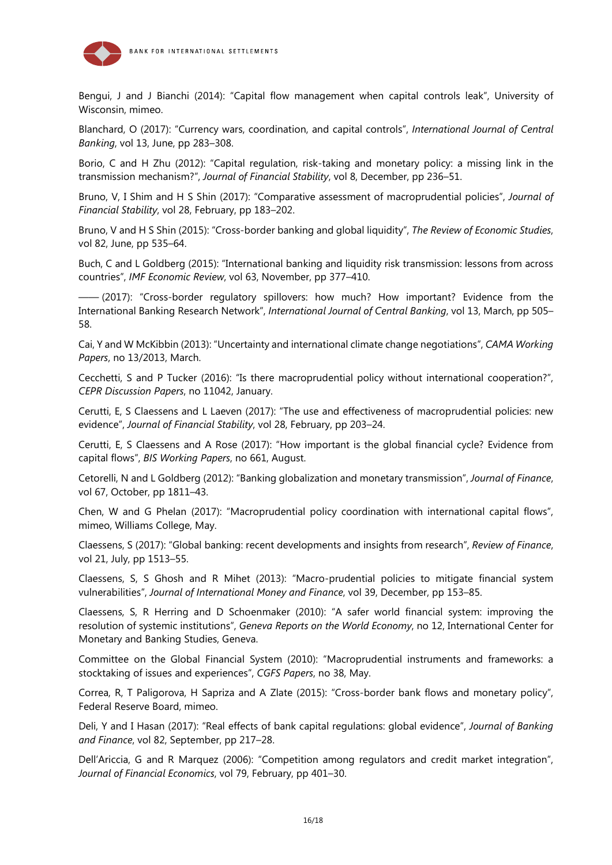

Bengui, J and J Bianchi (2014): "Capital flow management when capital controls leak", University of Wisconsin, mimeo.

Blanchard, O (2017): "Currency wars, coordination, and capital controls", *International Journal of Central Banking*, vol 13, June, pp 283–308.

Borio, C and H Zhu (2012): "Capital regulation, risk-taking and monetary policy: a missing link in the transmission mechanism?", *Journal of Financial Stability*, vol 8, December, pp 236–51.

Bruno, V, I Shim and H S Shin (2017): "Comparative assessment of macroprudential policies", *Journal of Financial Stability*, vol 28, February, pp 183–202.

Bruno, V and H S Shin (2015): "Cross-border banking and global liquidity", *The Review of Economic Studies*, vol 82, June, pp 535–64.

Buch, C and L Goldberg (2015): "International banking and liquidity risk transmission: lessons from across countries", *IMF Economic Review*, vol 63, November, pp 377–410.

—— (2017): "Cross-border regulatory spillovers: how much? How important? Evidence from the International Banking Research Network", *International Journal of Central Banking*, vol 13, March, pp 505– 58.

Cai, Y and W McKibbin (2013): "Uncertainty and international climate change negotiations", *CAMA Working Papers*, no 13/2013, March.

Cecchetti, S and P Tucker (2016): "Is there macroprudential policy without international cooperation?", *CEPR Discussion Papers*, no 11042, January.

Cerutti, E, S Claessens and L Laeven (2017): "The use and effectiveness of macroprudential policies: new evidence", *Journal of Financial Stability*, vol 28, February, pp 203–24.

Cerutti, E, S Claessens and A Rose (2017): "How important is the global financial cycle? Evidence from capital flows", *BIS Working Papers*, no 661, August.

Cetorelli, N and L Goldberg (2012): "Banking globalization and monetary transmission", *Journal of Finance*, vol 67, October, pp 1811–43.

Chen, W and G Phelan (2017): "Macroprudential policy coordination with international capital flows", mimeo, Williams College, May.

Claessens, S (2017): "Global banking: recent developments and insights from research", *Review of Finance*, vol 21, July, pp 1513–55.

Claessens, S, S Ghosh and R Mihet (2013): "Macro-prudential policies to mitigate financial system vulnerabilities", *Journal of International Money and Finance*, vol 39, December, pp 153–85.

Claessens, S, R Herring and D Schoenmaker (2010): "A safer world financial system: improving the resolution of systemic institutions", *Geneva Reports on the World Economy*, no 12, International Center for Monetary and Banking Studies, Geneva.

Committee on the Global Financial System (2010): "Macroprudential instruments and frameworks: a stocktaking of issues and experiences", *CGFS Papers*, no 38, May.

Correa, R, T Paligorova, H Sapriza and A Zlate (2015): "Cross-border bank flows and monetary policy", Federal Reserve Board, mimeo.

Deli, Y and I Hasan (2017): "Real effects of bank capital regulations: global evidence", *Journal of Banking and Finance*, vol 82, September, pp 217–28.

Dell'Ariccia, G and R Marquez (2006): "Competition among regulators and credit market integration", *Journal of Financial Economics*, vol 79, February, pp 401–30.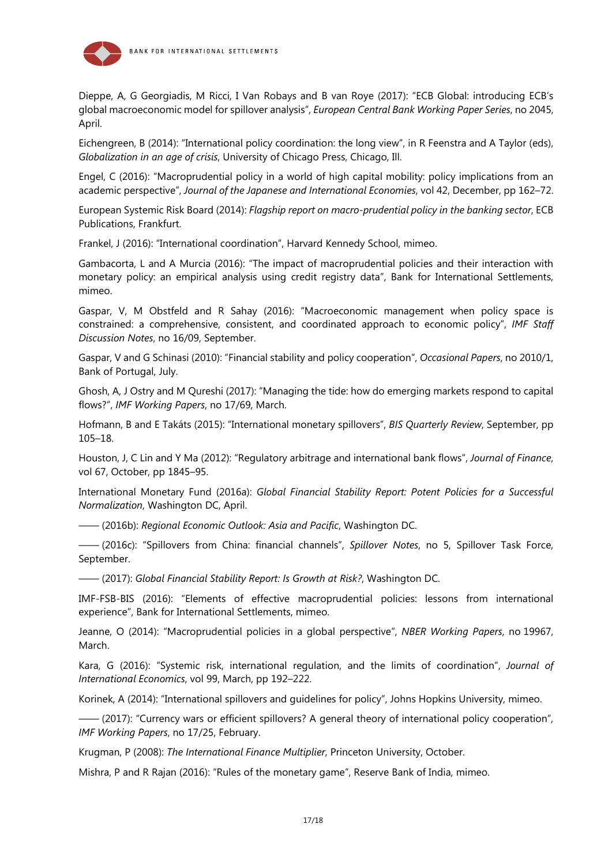

Dieppe, A, G Georgiadis, M Ricci, I Van Robays and B van Roye (2017): "ECB Global: introducing ECB's global macroeconomic model for spillover analysis", *European Central Bank Working Paper Series*, no 2045, April.

Eichengreen, B (2014): "International policy coordination: the long view", in R Feenstra and A Taylor (eds), *Globalization in an age of crisis*, University of Chicago Press, Chicago, Ill.

Engel, C (2016): "Macroprudential policy in a world of high capital mobility: policy implications from an academic perspective", *Journal of the Japanese and International Economies*, vol 42, December, pp 162–72.

European Systemic Risk Board (2014): *Flagship report on macro-prudential policy in the banking sector*, ECB Publications, Frankfurt.

Frankel, J (2016): "International coordination", Harvard Kennedy School, mimeo.

Gambacorta, L and A Murcia (2016): "The impact of macroprudential policies and their interaction with monetary policy: an empirical analysis using credit registry data", Bank for International Settlements, mimeo.

Gaspar, V, M Obstfeld and R Sahay (2016): "Macroeconomic management when policy space is constrained: a comprehensive, consistent, and coordinated approach to economic policy", *IMF Staff Discussion Notes*, no 16/09, September.

Gaspar, V and G Schinasi (2010): "Financial stability and policy cooperation", *Occasional Papers*, no 2010/1, Bank of Portugal, July.

Ghosh, A, J Ostry and M Qureshi (2017): "Managing the tide: how do emerging markets respond to capital flows?", *IMF Working Papers*, no 17/69, March.

Hofmann, B and E Takáts (2015): "International monetary spillovers", *BIS Quarterly Review*, September, pp 105–18.

Houston, J, C Lin and Y Ma (2012): "Regulatory arbitrage and international bank flows", *Journal of Finance*, vol 67, October, pp 1845–95.

International Monetary Fund (2016a): *Global Financial Stability Report: Potent Policies for a Successful Normalization*, Washington DC, April.

—— (2016b): *Regional Economic Outlook: Asia and Pacific*, Washington DC.

—— (2016c): "Spillovers from China: financial channels", *Spillover Notes*, no 5, Spillover Task Force, September.

—— (2017): *Global Financial Stability Report: Is Growth at Risk?*, Washington DC.

IMF-FSB-BIS (2016): "Elements of effective macroprudential policies: lessons from international experience", Bank for International Settlements, mimeo.

Jeanne, O (2014): "Macroprudential policies in a global perspective", *NBER Working Papers*, no 19967, March.

Kara, G (2016): "Systemic risk, international regulation, and the limits of coordination", *Journal of International Economics*, vol 99, March, pp 192–222.

Korinek, A (2014): "International spillovers and guidelines for policy", Johns Hopkins University, mimeo.

—— (2017): "Currency wars or efficient spillovers? A general theory of international policy cooperation", *IMF Working Papers*, no 17/25, February.

Krugman, P (2008): *The International Finance Multiplier*, Princeton University, October.

Mishra, P and R Rajan (2016): "Rules of the monetary game", Reserve Bank of India, mimeo.